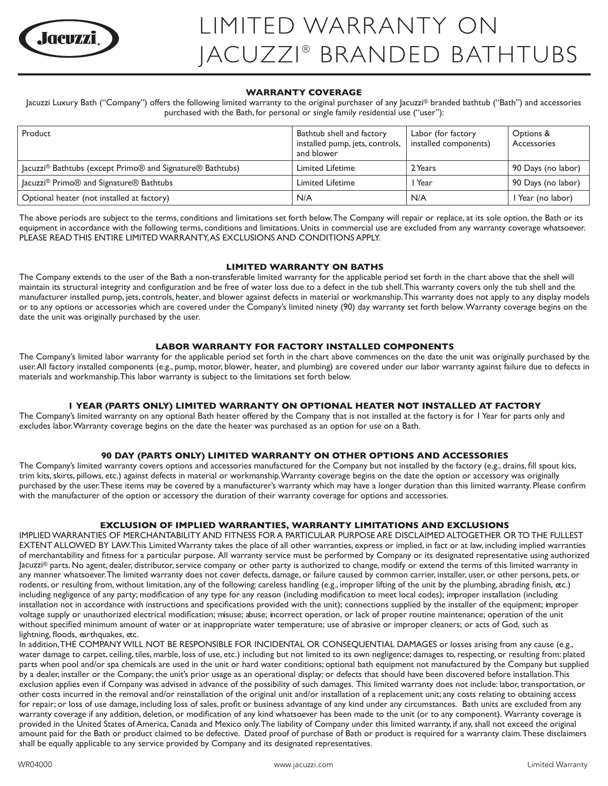

# **WARRANTY COVERAGE**

Jacuzzi Luxury Bath ("Company") offers the following limited warranty to the original purchaser of any Jacuzzi® branded bathtub ("Bath") and accessories purchased with the Bath, for personal or single family residential use ("user"):

| Product                                                                     | Bathtub shell and factory<br>installed pump, jets, controls,<br>and blower | Labor (for factory<br>installed components) | Options &<br>Accessories |
|-----------------------------------------------------------------------------|----------------------------------------------------------------------------|---------------------------------------------|--------------------------|
| Jacuzzi <sup>®</sup> Bathtubs (except Primo® and Signature® Bathtubs)       | <b>Limited Lifetime</b>                                                    | 2 Years                                     | 90 Days (no labor)       |
| Jacuzzi <sup>®</sup> Primo <sup>®</sup> and Signature <sup>®</sup> Bathtubs | <b>Limited Lifetime</b>                                                    | l Year                                      | 90 Days (no labor)       |
| Optional heater (not installed at factory)                                  | N/A                                                                        | N/A                                         | Year (no labor)          |

The above periods are subject to the terms, conditions and limitations set forth below. The Company will repair or replace, at its sole option, the Bath or its equipment in accordance with the following terms, conditions and limitations. Units in commercial use are excluded from any warranty coverage whatsoever. PLEASE READ THIS ENTIRE LIMITED WARRANTY, AS EXCLUSIONS AND CONDITIONS APPLY.

### **LIMITED WARRANTY ON BATHS**

The Company extends to the user of the Bath a non-transferable limited warranty for the applicable period set forth in the chart above that the shell will maintain its structural integrity and configuration and be free of water loss due to a defect in the tub shell. This warranty covers only the tub shell and the manufacturer installed pump, jets, controls, heater, and blower against defects in material or workmanship. This warranty does not apply to any display models or to any options or accessories which are covered under the Company's limited ninety (90) day warranty set forth below. Warranty coverage begins on the date the unit was originally purchased by the user.

### **LABOR WARRANTY FOR FACTORY INSTALLED COMPONENTS**

The Company's limited labor warranty for the applicable period set forth in the chart above commences on the date the unit was originally purchased by the user. All factory installed components (e.g., pump, motor, blower, heater, and plumbing) are covered under our labor warranty against failure due to defects in materials and workmanship.This labor warranty is subject to the limitations set forth below.

# **1 YEAR (PARTS ONLY) LIMITED WARRANTY ON OPTIONAL HEATER NOT INSTALLED AT FACTORY**

The Company's limited warranty on any optional Bath heater offered by the Company that is not installed at the factory is for 1 Year for parts only and excludes labor. Warranty coverage begins on the date the heater was purchased as an option for use on a Bath.

# **90 DAY (PARTS ONLY) LIMITED WARRANTY ON OTHER OPTIONS AND ACCESSORIES**

The Company's limited warranty covers options and accessories manufactured for the Company but not installed by the factory (e.g., drains, fill spout kits, trim kits, skirts, pillows, etc.) against defects in material or workmanship. Warranty coverage begins on the date the option or accessory was originally purchased by the user. These items may be covered by a manufacturer's warranty which may have a longer duration than this limited warranty. Please confirm with the manufacturer of the option or accessory the duration of their warranty coverage for options and accessories.

# **EXCLUSION OF IMPLIED WARRANTIES, WARRANTY LIMITATIONS AND EXCLUSIONS**

IMPLIED WARRANTIES OF MERCHANTABILITY AND FITNESS FOR A PARTICULAR PURPOSE ARE DISCLAIMED ALTOGETHER OR TO THE FULLEST EXTENT ALLOWED BY LAW. This Limited Warranty takes the place of all other warranties, express or implied, in fact or at law, including implied warranties of merchantability and fitness for a particular purpose. All warranty service must be performed by Company or its designated representative using authorized Jacuzzi® parts. No agent, dealer, distributor, service company or other party is authorized to change, modify or extend the terms of this limited warranty in any manner whatsoever. The limited warranty does not cover defects, damage, or failure caused by common carrier, installer, user, or other persons, pets, or rodents, or resulting from, without limitation, any of the following: careless handling (e.g., improper lifting of the unit by the plumbing, abrading finish, etc.) including negligence of any party; modification of any type for any reason (including modification to meet local codes); improper installation (including installation not in accordance with instructions and specifications provided with the unit); connections supplied by the installer of the equipment; improper voltage supply or unauthorized electrical modification; misuse; abuse; incorrect operation, or lack of proper routine maintenance; operation of the unit without specified minimum amount of water or at inappropriate water temperature; use of abrasive or improper cleaners; or acts of God, such as lightning, floods, earthquakes, etc.

In addition, THE COMPANY WILL NOT BE RESPONSIBLE FOR INCIDENTAL OR CONSEQUENTIAL DAMAGES or losses arising from any cause (e.g., water damage to carpet, ceiling, tiles, marble, loss of use, etc.) including but not limited to its own negligence; damages to, respecting, or resulting from: plated parts when pool and/or spa chemicals are used in the unit or hard water conditions; optional bath equipment not manufactured by the Company but supplied by a dealer, installer or the Company; the unit's prior usage as an operational display; or defects that should have been discovered before installation. This exclusion applies even if Company was advised in advance of the possibility of such damages. This limited warranty does not include: labor, transportation, or other costs incurred in the removal and/or reinstallation of the original unit and/or installation of a replacement unit; any costs relating to obtaining access for repair; or loss of use damage, including loss of sales, profit or business advantage of any kind under any circumstances. Bath units are excluded from any warranty coverage if any addition, deletion, or modification of any kind whatsoever has been made to the unit (or to any component). Warranty coverage is provided in the United States of America, Canada and Mexico only. The liability of Company under this limited warranty, if any, shall not exceed the original amount paid for the Bath or product claimed to be defective. Dated proof of purchase of Bath or product is required for a warranty claim. These disclaimers shall be equally applicable to any service provided by Company and its designated representatives.